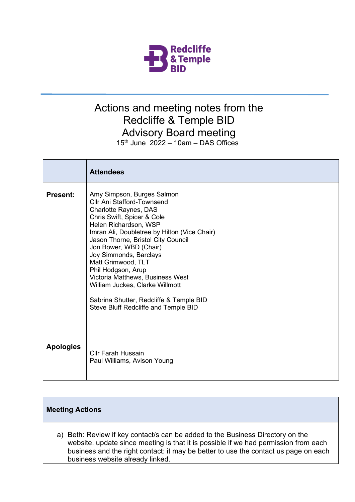

## Actions and meeting notes from the Redcliffe & Temple BID Advisory Board meeting  $15<sup>th</sup>$  June  $2022 - 10$ am – DAS Offices

|                  | <b>Attendees</b>                                                                                                                                                                                                                                                                                                                                                                                                                                                                                       |
|------------------|--------------------------------------------------------------------------------------------------------------------------------------------------------------------------------------------------------------------------------------------------------------------------------------------------------------------------------------------------------------------------------------------------------------------------------------------------------------------------------------------------------|
| <b>Present:</b>  | Amy Simpson, Burges Salmon<br><b>Cllr Ani Stafford-Townsend</b><br><b>Charlotte Raynes, DAS</b><br>Chris Swift, Spicer & Cole<br>Helen Richardson, WSP<br>Imran Ali, Doubletree by Hilton (Vice Chair)<br>Jason Thorne, Bristol City Council<br>Jon Bower, WBD (Chair)<br>Joy Simmonds, Barclays<br>Matt Grimwood, TLT<br>Phil Hodgson, Arup<br>Victoria Matthews, Business West<br>William Juckes, Clarke Willmott<br>Sabrina Shutter, Redcliffe & Temple BID<br>Steve Bluff Redcliffe and Temple BID |
| <b>Apologies</b> | <b>Cllr Farah Hussain</b><br>Paul Williams, Avison Young                                                                                                                                                                                                                                                                                                                                                                                                                                               |

## **Meeting Actions**

a) Beth: Review if key contact/s can be added to the Business Directory on the website. update since meeting is that it is possible if we had permission from each business and the right contact: it may be better to use the contact us page on each business website already linked.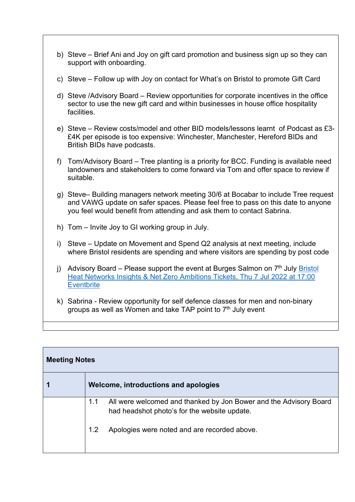- b) Steve Brief Ani and Joy on gift card promotion and business sign up so they can support with onboarding.
- c) Steve Follow up with Joy on contact for What's on Bristol to promote Gift Card
- d) Steve /Advisory Board Review opportunities for corporate incentives in the office sector to use the new gift card and within businesses in house office hospitality facilities.
- e) Steve Review costs/model and other BID models/lessons learnt of Podcast as £3- £4K per episode is too expensive: Winchester, Manchester, Hereford BIDs and British BIDs have podcasts.
- f) Tom/Advisory Board Tree planting is a priority for BCC. Funding is available need landowners and stakeholders to come forward via Tom and offer space to review if suitable.
- g) Steve– Building managers network meeting 30/6 at Bocabar to include Tree request and VAWG update on safer spaces. Please feel free to pass on this date to anyone you feel would benefit from attending and ask them to contact Sabrina.
- h) Tom Invite Joy to GI working group in July.
- i) Steve Update on Movement and Spend Q2 analysis at next meeting, include where Bristol residents are spending and where visitors are spending by post code
- j) Advisory Board Please support the event at Burges Salmon on  $7<sup>th</sup>$  July Bristol [Heat Networks Insights & Net Zero Ambitions Tickets, Thu 7 Jul 2022 at 17:00](https://www.eventbrite.co.uk/e/bristol-heat-networks-insights-net-zero-ambitions-tickets-360297448367)  **[Eventbrite](https://www.eventbrite.co.uk/e/bristol-heat-networks-insights-net-zero-ambitions-tickets-360297448367)**
- k) Sabrina Review opportunity for self defence classes for men and non-binary groups as well as Women and take TAP point to  $7<sup>th</sup>$  July event

| <b>Meeting Notes</b> |                                                                                                                          |  |  |
|----------------------|--------------------------------------------------------------------------------------------------------------------------|--|--|
|                      | Welcome, introductions and apologies                                                                                     |  |  |
|                      | All were welcomed and thanked by Jon Bower and the Advisory Board<br>1.1<br>had headshot photo's for the website update. |  |  |
|                      | Apologies were noted and are recorded above.<br>1.2                                                                      |  |  |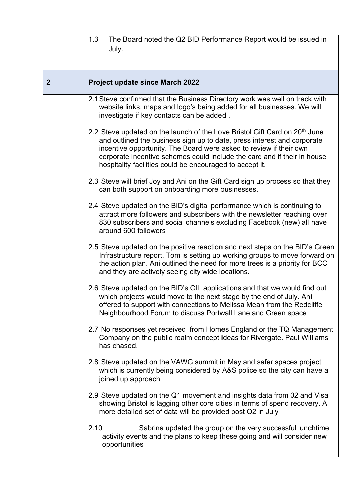|              | The Board noted the Q2 BID Performance Report would be issued in<br>1.3<br>July.                                                                                                                                                                                                                                                                                                |
|--------------|---------------------------------------------------------------------------------------------------------------------------------------------------------------------------------------------------------------------------------------------------------------------------------------------------------------------------------------------------------------------------------|
| $\mathbf{2}$ | <b>Project update since March 2022</b>                                                                                                                                                                                                                                                                                                                                          |
|              | 2.1 Steve confirmed that the Business Directory work was well on track with<br>website links, maps and logo's being added for all businesses. We will<br>investigate if key contacts can be added.                                                                                                                                                                              |
|              | 2.2 Steve updated on the launch of the Love Bristol Gift Card on 20 <sup>th</sup> June<br>and outlined the business sign up to date, press interest and corporate<br>incentive opportunity. The Board were asked to review if their own<br>corporate incentive schemes could include the card and if their in house<br>hospitality facilities could be encouraged to accept it. |
|              | 2.3 Steve will brief Joy and Ani on the Gift Card sign up process so that they<br>can both support on onboarding more businesses.                                                                                                                                                                                                                                               |
|              | 2.4 Steve updated on the BID's digital performance which is continuing to<br>attract more followers and subscribers with the newsletter reaching over<br>830 subscribers and social channels excluding Facebook (new) all have<br>around 600 followers                                                                                                                          |
|              | 2.5 Steve updated on the positive reaction and next steps on the BID's Green<br>Infrastructure report. Tom is setting up working groups to move forward on<br>the action plan. Ani outlined the need for more trees is a priority for BCC<br>and they are actively seeing city wide locations.                                                                                  |
|              | 2.6 Steve updated on the BID's CIL applications and that we would find out<br>which projects would move to the next stage by the end of July. Ani<br>offered to support with connections to Melissa Mean from the Redcliffe<br>Neighbourhood Forum to discuss Portwall Lane and Green space                                                                                     |
|              | 2.7 No responses yet received from Homes England or the TQ Management<br>Company on the public realm concept ideas for Rivergate. Paul Williams<br>has chased.                                                                                                                                                                                                                  |
|              | 2.8 Steve updated on the VAWG summit in May and safer spaces project<br>which is currently being considered by A&S police so the city can have a<br>joined up approach                                                                                                                                                                                                          |
|              | 2.9 Steve updated on the Q1 movement and insights data from 02 and Visa<br>showing Bristol is lagging other core cities in terms of spend recovery. A<br>more detailed set of data will be provided post Q2 in July                                                                                                                                                             |
|              | 2.10<br>Sabrina updated the group on the very successful lunchtime<br>activity events and the plans to keep these going and will consider new<br>opportunities                                                                                                                                                                                                                  |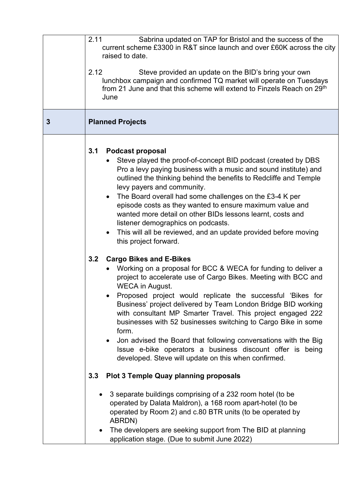| 2.11<br>Sabrina updated on TAP for Bristol and the success of the<br>current scheme £3300 in R&T since launch and over £60K across the city<br>raised to date.<br>2.12<br>Steve provided an update on the BID's bring your own<br>lunchbox campaign and confirmed TQ market will operate on Tuesdays<br>from 21 June and that this scheme will extend to Finzels Reach on 29 <sup>th</sup><br>June                                                                                                                                                                                                                                                                                                                                                                                                                                                                                                                                                                                                                                                                                           |
|----------------------------------------------------------------------------------------------------------------------------------------------------------------------------------------------------------------------------------------------------------------------------------------------------------------------------------------------------------------------------------------------------------------------------------------------------------------------------------------------------------------------------------------------------------------------------------------------------------------------------------------------------------------------------------------------------------------------------------------------------------------------------------------------------------------------------------------------------------------------------------------------------------------------------------------------------------------------------------------------------------------------------------------------------------------------------------------------|
| <b>Planned Projects</b>                                                                                                                                                                                                                                                                                                                                                                                                                                                                                                                                                                                                                                                                                                                                                                                                                                                                                                                                                                                                                                                                      |
| 3.1<br><b>Podcast proposal</b><br>Steve played the proof-of-concept BID podcast (created by DBS<br>Pro a levy paying business with a music and sound institute) and<br>outlined the thinking behind the benefits to Redcliffe and Temple<br>levy payers and community.<br>The Board overall had some challenges on the £3-4 K per<br>$\bullet$<br>episode costs as they wanted to ensure maximum value and<br>wanted more detail on other BIDs lessons learnt, costs and<br>listener demographics on podcasts.<br>This will all be reviewed, and an update provided before moving<br>$\bullet$<br>this project forward.<br><b>Cargo Bikes and E-Bikes</b><br>3.2<br>Working on a proposal for BCC & WECA for funding to deliver a<br>project to accelerate use of Cargo Bikes. Meeting with BCC and<br><b>WECA</b> in August.<br>Proposed project would replicate the successful 'Bikes for<br>Business' project delivered by Team London Bridge BID working<br>with consultant MP Smarter Travel. This project engaged 222<br>businesses with 52 businesses switching to Cargo Bike in some |
| form.<br>Jon advised the Board that following conversations with the Big<br>Issue e-bike operators a business discount offer is being<br>developed. Steve will update on this when confirmed.                                                                                                                                                                                                                                                                                                                                                                                                                                                                                                                                                                                                                                                                                                                                                                                                                                                                                                |
| <b>Plot 3 Temple Quay planning proposals</b><br>3.3                                                                                                                                                                                                                                                                                                                                                                                                                                                                                                                                                                                                                                                                                                                                                                                                                                                                                                                                                                                                                                          |
| 3 separate buildings comprising of a 232 room hotel (to be<br>operated by Dalata Maldron), a 168 room apart-hotel (to be<br>operated by Room 2) and c.80 BTR units (to be operated by<br>ABRDN)<br>The developers are seeking support from The BID at planning<br>$\bullet$<br>application stage. (Due to submit June 2022)                                                                                                                                                                                                                                                                                                                                                                                                                                                                                                                                                                                                                                                                                                                                                                  |
|                                                                                                                                                                                                                                                                                                                                                                                                                                                                                                                                                                                                                                                                                                                                                                                                                                                                                                                                                                                                                                                                                              |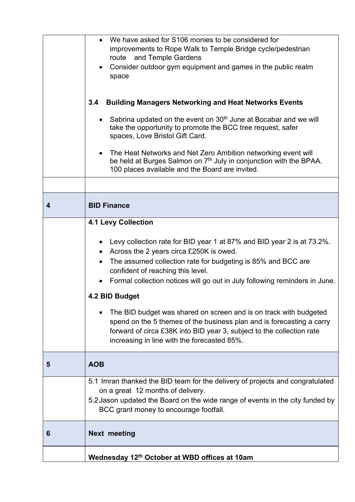|   | Wednesday 12th October at WBD offices at 10am                                                                                                                                                                                                                                                                                                                                                                                                                                                                                                                                                                                       |
|---|-------------------------------------------------------------------------------------------------------------------------------------------------------------------------------------------------------------------------------------------------------------------------------------------------------------------------------------------------------------------------------------------------------------------------------------------------------------------------------------------------------------------------------------------------------------------------------------------------------------------------------------|
| 6 | <b>Next meeting</b>                                                                                                                                                                                                                                                                                                                                                                                                                                                                                                                                                                                                                 |
|   | 5.1 Imran thanked the BID team for the delivery of projects and congratulated<br>on a great 12 months of delivery.<br>5.2 Jason updated the Board on the wide range of events in the city funded by<br>BCC grant money to encourage footfall.                                                                                                                                                                                                                                                                                                                                                                                       |
| 5 | <b>AOB</b>                                                                                                                                                                                                                                                                                                                                                                                                                                                                                                                                                                                                                          |
|   | Levy collection rate for BID year 1 at 87% and BID year 2 is at 73.2%.<br>$\bullet$<br>Across the 2 years circa £250K is owed.<br>$\bullet$<br>The assumed collection rate for budgeting is 85% and BCC are<br>$\bullet$<br>confident of reaching this level.<br>Formal collection notices will go out in July following reminders in June.<br>4.2 BID Budget<br>The BID budget was shared on screen and is on track with budgeted<br>spend on the 5 themes of the business plan and is forecasting a carry<br>forward of circa £38K into BID year 3, subject to the collection rate<br>increasing in line with the forecasted 85%. |
|   | <b>4.1 Levy Collection</b>                                                                                                                                                                                                                                                                                                                                                                                                                                                                                                                                                                                                          |
| 4 | <b>BID Finance</b>                                                                                                                                                                                                                                                                                                                                                                                                                                                                                                                                                                                                                  |
|   | 100 places available and the Board are invited.                                                                                                                                                                                                                                                                                                                                                                                                                                                                                                                                                                                     |
|   | spaces, Love Bristol Gift Card.<br>The Heat Networks and Net Zero Ambition networking event will<br>be held at Burges Salmon on 7 <sup>th</sup> July in conjunction with the BPAA.                                                                                                                                                                                                                                                                                                                                                                                                                                                  |
|   | 3.4<br><b>Building Managers Networking and Heat Networks Events</b><br>Sabrina updated on the event on 30 <sup>th</sup> June at Bocabar and we will<br>$\bullet$<br>take the opportunity to promote the BCC tree request, safer                                                                                                                                                                                                                                                                                                                                                                                                     |
|   | Consider outdoor gym equipment and games in the public realm<br>space                                                                                                                                                                                                                                                                                                                                                                                                                                                                                                                                                               |
|   | We have asked for S106 monies to be considered for<br>improvements to Rope Walk to Temple Bridge cycle/pedestrian<br>route and Temple Gardens                                                                                                                                                                                                                                                                                                                                                                                                                                                                                       |